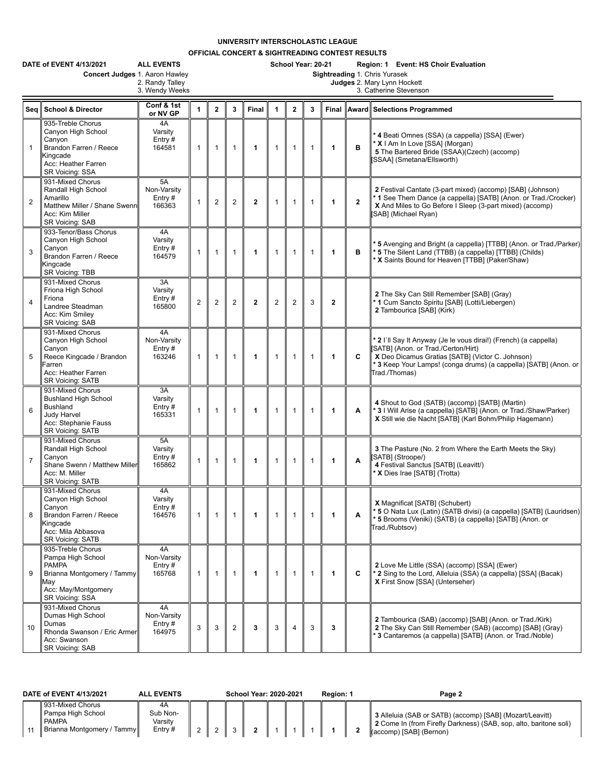## **UNIVERSITY INTERSCHOLASTIC LEAGUE**

**OFFICIAL CONCERT & SIGHTREADING CONTEST RESULTS**

|                | DATE of EVENT 4/13/2021<br>Concert Judges 1. Aaron Hawley                                                                             | <b>ALL EVENTS</b><br>2. Randy Talley<br>3. Wendy Weeks |                | School Year: 20-21<br>Region: 1 Event: HS Choir Evaluation<br>Sightreading 1. Chris Yurasek<br>Judges 2. Mary Lynn Hockett<br>3. Catherine Stevenson |                |                |                |                |              |              |              |                                                                                                                                                                                                                                                  |  |  |  |
|----------------|---------------------------------------------------------------------------------------------------------------------------------------|--------------------------------------------------------|----------------|------------------------------------------------------------------------------------------------------------------------------------------------------|----------------|----------------|----------------|----------------|--------------|--------------|--------------|--------------------------------------------------------------------------------------------------------------------------------------------------------------------------------------------------------------------------------------------------|--|--|--|
|                | Sea School & Director                                                                                                                 | Conf & 1st<br>or NV GP                                 | 1              | $\overline{2}$                                                                                                                                       | $\mathbf{3}$   | <b>Final</b>   | $\mathbf{1}$   | $\overline{2}$ | 3            | Final        |              | Award Selections Programmed                                                                                                                                                                                                                      |  |  |  |
| $\mathbf{1}$   | 935-Treble Chorus<br>Canyon High School<br>Canyon<br>Brandon Farren / Reece<br>Kingcade<br>Acc: Heather Farren<br>SR Voicing: SSA     | 4A<br>Varsity<br>Entry#<br>164581                      | $\mathbf{1}$   | $\mathbf{1}$                                                                                                                                         | $\mathbf{1}$   | 1              | $\mathbf{1}$   | $\mathbf{1}$   | $\mathbf{1}$ | 1            | в            | 4 Beati Omnes (SSA) (a cappella) [SSA] (Ewer)<br>* X   Am In Love [SSA] (Morgan)<br>5 The Bartered Bride (SSAA)(Czech) (accomp)<br>[SSAA] (Smetana/Ellsworth)                                                                                    |  |  |  |
| $\overline{2}$ | 931-Mixed Chorus<br>Randall High School<br>Amarillo<br>Matthew Miller / Shane Swenn<br>Acc: Kim Miller<br>SR Voicing: SAB             | 5A<br>Non-Varsity<br>Entry#<br>166363                  | 1              | $\overline{2}$                                                                                                                                       | $\overline{2}$ | $\mathbf{2}$   | $\mathbf{1}$   | $\mathbf{1}$   | $\mathbf{1}$ | 1            | $\mathbf{2}$ | 2 Festival Cantate (3-part mixed) (accomp) [SAB] (Johnson)<br>* 1 See Them Dance (a cappella) [SATB] (Anon. or Trad./Crocker)<br>X And Miles to Go Before I Sleep (3-part mixed) (accomp)<br>[SAB] (Michael Ryan)                                |  |  |  |
| 3              | 933-Tenor/Bass Chorus<br>Canyon High School<br>Canyon<br>Brandon Farren / Reece<br>Kingcade<br>SR Voicing: TBB                        | 4A<br>Varsity<br>Entry $#$<br>164579                   | $\mathbf{1}$   | $\mathbf{1}$                                                                                                                                         | $\mathbf{1}$   | 1              | $\mathbf{1}$   | $\mathbf{1}$   | $\mathbf{1}$ | 1            | в            | *5 Avenging and Bright (a cappella) [TTBB] (Anon. or Trad./Parker)<br>* 5 The Silent Land (TTBB) (a cappella) [TTBB] (Childs)<br>* X Saints Bound for Heaven [TTBB] (Paker/Shaw)                                                                 |  |  |  |
| $\overline{4}$ | 931-Mixed Chorus<br>Friona High School<br>Friona<br>Landree Steadman<br>Acc: Kim Smiley<br>SR Voicing: SAB                            | 3A<br>Varsity<br>Entry#<br>165800                      | $\overline{2}$ | $\overline{2}$                                                                                                                                       | $\overline{2}$ | $\overline{2}$ | $\overline{2}$ | $\overline{2}$ | 3            | $\mathbf{2}$ |              | 2 The Sky Can Still Remember [SAB] (Gray)<br>1 Cum Sancto Spiritu [SAB] (Lotti/Liebergen)<br>2 Tambourica [SAB] (Kirk)                                                                                                                           |  |  |  |
| 5              | 931-Mixed Chorus<br>Canyon High School<br>Canyon<br>Reece Kingcade / Brandon<br>Farren<br>Acc: Heather Farren<br>SR Voicing: SATB     | 4A<br>Non-Varsity<br>Entry#<br>163246                  | $\mathbf{1}$   | $\mathbf{1}$                                                                                                                                         | $\mathbf{1}$   | 1              | $\mathbf{1}$   | $\mathbf{1}$   | $\mathbf{1}$ | 1            | C            | * 2 I`ll Say It Anyway (Je le vous dirai!) (French) (a cappella)<br>[SATB] (Anon. or Trad./Certon/Hirt)<br>X Deo Dicamus Gratias [SATB] (Victor C. Johnson)<br>* 3 Keep Your Lamps! (conga drums) (a cappella) [SATB] (Anon. or<br>Trad./Thomas) |  |  |  |
| 6              | 931-Mixed Chorus<br><b>Bushland High School</b><br><b>Bushland</b><br>Judy Harvel<br>Acc: Stephanie Fauss<br><b>SR Voicing: SATB</b>  | 3A<br>Varsity<br>Entry#<br>165331                      | 1              | $\mathbf{1}$                                                                                                                                         | $\mathbf{1}$   | 1              | $\mathbf{1}$   | $\mathbf{1}$   | $\mathbf{1}$ | 1            | Α            | 4 Shout to God (SATB) (accomp) [SATB] (Martin)<br>* 3 I Will Arise (a cappella) [SATB] (Anon. or Trad./Shaw/Parker)<br>X Still wie die Nacht [SATB] (Karl Bohm/Philip Hagemann)                                                                  |  |  |  |
| $\overline{7}$ | 931-Mixed Chorus<br>Randall High School<br>Canvon<br>Shane Swenn / Matthew Miller<br>Acc: M. Miller<br>SR Voicing: SATB               | 5A<br>Varsity<br>Entry#<br>165862                      | 1              | $\mathbf{1}$                                                                                                                                         | $\mathbf{1}$   | 1              | $\mathbf{1}$   | $\mathbf{1}$   | $\mathbf{1}$ | 1            | A            | <b>3</b> The Pasture (No. 2 from Where the Earth Meets the Sky)<br>(SATB) (Stroope/)<br>4 Festival Sanctus [SATB] (Leavitt/)<br>* X Dies Irae [SATB] (Trotta)                                                                                    |  |  |  |
| 8              | 931-Mixed Chorus<br>Canyon High School<br>Canyon<br>Brandon Farren / Reece<br>Kingcade<br>Acc: Mila Abbasova<br>SR Voicing: SATB      | 4A<br>Varsity<br>Entry#<br>164576                      | $\mathbf{1}$   | $\mathbf{1}$                                                                                                                                         | $\mathbf{1}$   | 1              | $\mathbf{1}$   | $\overline{1}$ | $\mathbf{1}$ | 1            | Α            | X Magnificat [SATB] (Schubert)<br>* 5 O Nata Lux (Latin) (SATB divisi) (a cappella) [SATB] (Lauridsen)<br>* 5 Brooms (Veniki) (SATB) (a cappella) [SATB] (Anon. or<br>Trad./Rubtsov)                                                             |  |  |  |
| 9              | 935-Treble Chorus<br>Pampa High School<br><b>PAMPA</b><br>Brianna Montgomery / Tammy<br>May<br>Acc: May/Montgomery<br>SR Voicing: SSA | 4A<br>Non-Varsity<br>Entry#<br>165768                  | $\mathbf{1}$   | $\mathbf{1}$                                                                                                                                         | $\mathbf{1}$   | 1              | $\mathbf{1}$   | $\overline{1}$ | $\mathbf{1}$ | 1            | C            | 2 Love Me Little (SSA) (accomp) [SSA] (Ewer)<br>* 2 Sing to the Lord, Alleluia (SSA) (a cappella) [SSA] (Bacak)<br>X First Snow [SSA] (Unterseher)                                                                                               |  |  |  |
| 10             | 931-Mixed Chorus<br>Dumas High School<br>Dumas<br>Rhonda Swanson / Eric Armer<br>Acc: Swanson<br><b>SR Voicing: SAB</b>               | 4A<br>Non-Varsity<br>Entry#<br>164975                  | 3              | 3                                                                                                                                                    | $\overline{2}$ | 3              | 3              | $\overline{4}$ | 3            | 3            |              | 2 Tambourica (SAB) (accomp) [SAB] (Anon. or Trad./Kirk)<br>2 The Sky Can Still Remember (SAB) (accomp) [SAB] (Gray)<br><sup>*</sup> 3 Cantaremos (a cappella) [SATB] (Anon. or Trad./Noble)                                                      |  |  |  |

| DATE of EVENT 4/13/2021                                                       | <b>ALL EVENTS</b>                               | <b>School Year: 2020-2021</b> |  |  |  |  |  | Region: 1 | Page 2                                                                                                                                                   |
|-------------------------------------------------------------------------------|-------------------------------------------------|-------------------------------|--|--|--|--|--|-----------|----------------------------------------------------------------------------------------------------------------------------------------------------------|
| 931-Mixed Chorus<br>Pampa High School<br><b>PAMPA</b><br>Brianna Montgomery / | 4Α<br>Sub Non-<br>Varsitv<br>Entry $#$<br>Tammy |                               |  |  |  |  |  |           | 3 Alleluia (SAB or SATB) (accomp) [SAB] (Mozart/Leavitt)<br>2 Come In (from Firefly Darkness) (SAB, sop, alto, baritone soli)<br>(accomp) [SAB] (Bernon) |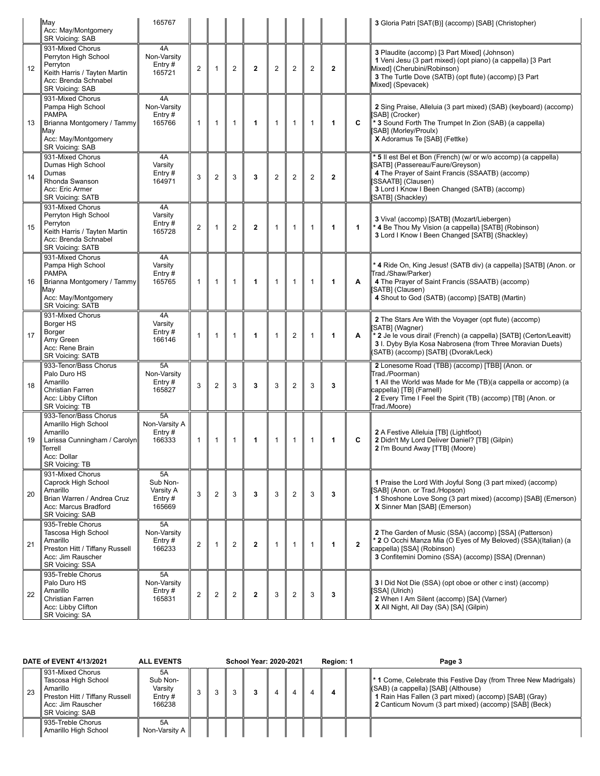|    | May<br>Acc: May/Montgomery<br>SR Voicing: SAB                                                                                                | 165767                                          |                |                |                |                |                |                  |                |              |                         | 3 Gloria Patri [SAT(B)] (accomp) [SAB] (Christopher)                                                                                                                                                                                                |
|----|----------------------------------------------------------------------------------------------------------------------------------------------|-------------------------------------------------|----------------|----------------|----------------|----------------|----------------|------------------|----------------|--------------|-------------------------|-----------------------------------------------------------------------------------------------------------------------------------------------------------------------------------------------------------------------------------------------------|
| 12 | 931-Mixed Chorus<br>Perryton High School<br>Perryton<br>Keith Harris / Tayten Martin<br>Acc: Brenda Schnabel<br>SR Voicing: SAB              | 4A<br>Non-Varsity<br>Entry $#$<br>165721        | $\overline{2}$ | $\mathbf{1}$   | $\overline{2}$ | $\overline{2}$ | $\overline{2}$ | $\overline{2}$   | $\overline{2}$ | $\mathbf{2}$ |                         | 3 Plaudite (accomp) [3 Part Mixed] (Johnson)<br>1 Veni Jesu (3 part mixed) (opt piano) (a cappella) [3 Part<br>Mixed] (Cherubini/Robinson)<br>3 The Turtle Dove (SATB) (opt flute) (accomp) [3 Part<br>Mixed] (Spevacek)                            |
| 13 | 931-Mixed Chorus<br>Pampa High School<br><b>PAMPA</b><br>Brianna Montgomery / Tammy<br>Mav<br>Acc: May/Montgomery<br>SR Voicing: SAB         | 4A<br>Non-Varsity<br>Entry#<br>165766           | $\mathbf{1}$   | $\mathbf{1}$   | $\mathbf{1}$   | 1              | $\mathbf{1}$   | $\mathbf{1}$     | $\mathbf{1}$   | $\mathbf{1}$ | C                       | 2 Sing Praise, Alleluia (3 part mixed) (SAB) (keyboard) (accomp)<br>[SAB] (Crocker)<br>* 3 Sound Forth The Trumpet In Zion (SAB) (a cappella)<br>[SAB] (Morley/Proulx)<br>X Adoramus Te [SAB] (Fettke)                                              |
| 14 | 931-Mixed Chorus<br>Dumas High School<br>Dumas<br>Rhonda Swanson<br>Acc: Eric Armer<br><b>SR Voicing: SATB</b>                               | 4A<br>Varsity<br>Entry $#$<br>164971            | 3              | $\overline{c}$ | 3              | 3              | $\overline{2}$ | $\overline{c}$   | $\overline{2}$ | $\mathbf{2}$ |                         | * 5 Il est Bel et Bon (French) (w/ or w/o accomp) (a cappella)<br>SATB] (Passereau/Faure/Greyson)<br>4 The Prayer of Saint Francis (SSAATB) (accomp)<br>[SSAATB] (Clausen)<br>3 Lord I Know I Been Changed (SATB) (accomp)<br>SATB] (Shackley)      |
| 15 | 931-Mixed Chorus<br>Perryton High School<br>Perryton<br>Keith Harris / Tayten Martin<br>Acc: Brenda Schnabel<br><b>SR Voicing: SATB</b>      | 4A<br>Varsity<br>Entry #<br>165728              | $\overline{2}$ | 1              | $\overline{2}$ | $\overline{2}$ | $\mathbf{1}$   | $\mathbf{1}$     | $\mathbf{1}$   | $\mathbf{1}$ | 1                       | 3 Viva! (accomp) [SATB] (Mozart/Liebergen)<br>* 4 Be Thou My Vision (a cappella) [SATB] (Robinson)<br>3 Lord I Know I Been Changed [SATB] (Shackley)                                                                                                |
| 16 | 931-Mixed Chorus<br>Pampa High School<br><b>PAMPA</b><br>Brianna Montgomery / Tammy<br>May<br>Acc: May/Montgomery<br><b>SR Voicing: SATB</b> | 4A<br>Varsity<br>Entry#<br>165765               | $\mathbf{1}$   | $\mathbf{1}$   | $\overline{1}$ | 1              | $\mathbf{1}$   | $\mathbf{1}$     | $\mathbf{1}$   | $\mathbf{1}$ | A                       | * 4 Ride On, King Jesus! (SATB div) (a cappella) [SATB] (Anon. or<br>Trad./Shaw/Parker)<br>4 The Prayer of Saint Francis (SSAATB) (accomp)<br>[SATB] (Clausen)<br>4 Shout to God (SATB) (accomp) [SATB] (Martin)                                    |
| 17 | 931-Mixed Chorus<br>Borger HS<br>Borger<br>Amy Green<br>Acc: Rene Brain<br>SR Voicing: SATB                                                  | 4A<br>Varsity<br>Entry #<br>166146              | $\overline{1}$ | $\mathbf{1}$   | $\overline{1}$ | 1              | $\mathbf{1}$   | $\overline{2}$   | $\mathbf{1}$   | 1            | A                       | 2 The Stars Are With the Voyager (opt flute) (accomp)<br>SATB] (Wagner)<br>* 2 Je le vous dirai! (French) (a cappella) [SATB] (Certon/Leavitt)<br>3 I. Dyby Byla Kosa Nabrosena (from Three Moravian Duets)<br>(SATB) (accomp) [SATB] (Dvorak/Leck) |
| 18 | 933-Tenor/Bass Chorus<br>Palo Duro HS<br>Amarillo<br>Christian Farren<br>Acc: Libby Clifton<br>SR Voicing: TB                                | 5A<br>Non-Varsity<br>Entry $#$<br>165827        | 3              | $\overline{c}$ | 3              | 3              | 3              | $\overline{2}$   | 3              | 3            |                         | 2 Lonesome Road (TBB) (accomp) [TBB] (Anon. or<br>Trad./Poorman)<br>1 All the World was Made for Me (TB)(a cappella or accomp) (a<br>cappella) [TB] (Farnell)<br>2 Every Time I Feel the Spirit (TB) (accomp) [TB] (Anon. or<br>Trad./Moore)        |
| 19 | 933-Tenor/Bass Chorus<br>Amarillo High School<br>Amarillo<br>Larissa Cunningham / Carolyn<br>Terrell<br>Acc: Dollar<br>SR Voicing: TB        | 5A<br>Non-Varsity A<br>Entry $#$<br>166333      | 1              | 1              | $\mathbf{1}$   | 1              | $\mathbf{1}$   | $\mathbf{1}$     | $\mathbf{1}$   | 1            | C                       | 2 A Festive Alleluia [TB] (Lightfoot)<br>2 Didn't My Lord Deliver Daniel? [TB] (Gilpin)<br>2 I'm Bound Away [TTB] (Moore)                                                                                                                           |
| 20 | 931-Mixed Chorus<br>Caprock High School<br>Amarillo<br>Brian Warren / Andrea Cruz<br>Acc: Marcus Bradford<br>SR Voicing: SAB                 | 5A<br>Sub Non-<br>Varsity A<br>Entry#<br>165669 | 3              | $\overline{2}$ | 3              | 3              | 3              | $\overline{2}$   | 3              | 3            |                         | 1 Praise the Lord With Joyful Song (3 part mixed) (accomp)<br>[SAB] (Anon. or Trad./Hopson)<br>1 Shoshone Love Song (3 part mixed) (accomp) [SAB] (Emerson)<br>X Sinner Man [SAB] (Emerson)                                                         |
| 21 | 935-Treble Chorus<br>Tascosa High School<br>Amarillo<br>Preston Hitt / Tiffany Russell<br>Acc: Jim Rauscher<br>SR Voicing: SSA               | 5A<br>Non-Varsity<br>Entry #<br>166233          | $\overline{2}$ | 1              | $\overline{2}$ | $\mathbf{2}$   | $\mathbf{1}$   | $\mathbf{1}$     | $\mathbf{1}$   | 1            | $\overline{\mathbf{2}}$ | 2 The Garden of Music (SSA) (accomp) [SSA] (Patterson)<br>* 2 O Occhi Manza Mia (O Eyes of My Beloved) (SSA)(Italian) (a<br>cappella) [SSA] (Robinson)<br>3 Confitemini Domino (SSA) (accomp) [SSA] (Drennan)                                       |
| 22 | 935-Treble Chorus<br>Palo Duro HS<br>Amarillo<br>Christian Farren<br>Acc: Libby Clifton<br>SR Voicing: SA                                    | 5A<br>Non-Varsity<br>Entry $#$<br>165831        | $\overline{2}$ | $\overline{2}$ | $\overline{2}$ | $\mathbf{2}$   | 3              | $\boldsymbol{2}$ | 3              | 3            |                         | 3 I Did Not Die (SSA) (opt oboe or other c inst) (accomp)<br>SSAI (Ulrich)<br>2 When I Am Silent (accomp) [SA] (Varner)<br>X All Night, All Day (SA) [SA] (Gilpin)                                                                                  |

|    | DATE of EVENT 4/13/2021                                                                                                              | <b>ALL EVENTS</b>                                | School Year: 2020-2021 |  |  |  |  | <b>Region: 1</b> | Page 3 |                                                                                                                                                                                                                                      |
|----|--------------------------------------------------------------------------------------------------------------------------------------|--------------------------------------------------|------------------------|--|--|--|--|------------------|--------|--------------------------------------------------------------------------------------------------------------------------------------------------------------------------------------------------------------------------------------|
| 23 | 931-Mixed Chorus<br>Tascosa High School<br>Amarillo<br>Preston Hitt / Tiffany Russell<br>Acc: Jim Rauscher<br><b>SR Voicing: SAB</b> | 5A<br>Sub Non-<br>Varsity<br>Entry $#$<br>166238 |                        |  |  |  |  |                  |        | <sup>*</sup> 1 Come, Celebrate this Festive Day (from Three New Madrigals)<br>(SAB) (a cappella) [SAB] (Althouse)<br>1 Rain Has Fallen (3 part mixed) (accomp) [SAB] (Gray)<br>2 Canticum Novum (3 part mixed) (accomp) [SAB] (Beck) |
|    | 935-Treble Chorus<br>Amarillo High School                                                                                            | 5A<br>Non-Varsity A                              |                        |  |  |  |  |                  |        |                                                                                                                                                                                                                                      |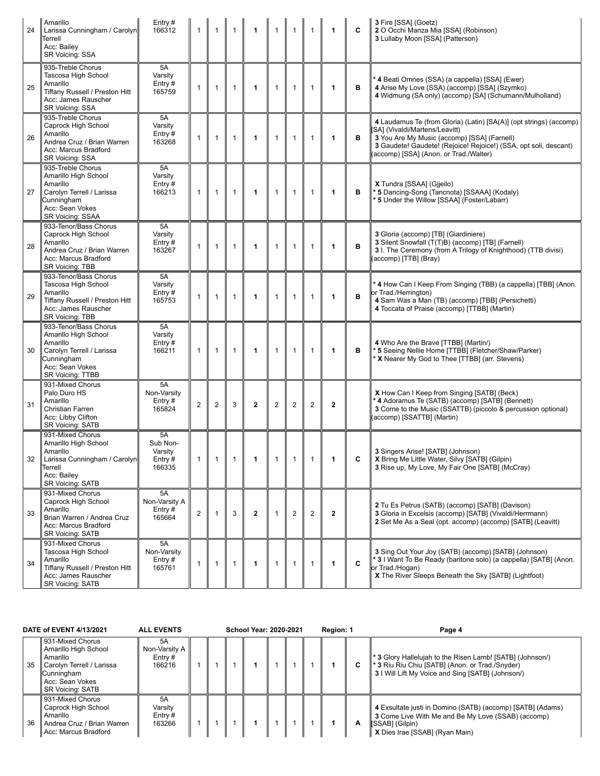| 24 | Amarillo<br>Larissa Cunningham / Carolyn<br>Terrell<br>Acc: Bailey<br>SR Voicing: SSA                                                       | Entry $#$<br>166312                           | $\mathbf{1}$   | $\mathbf{1}$   | $\mathbf{1}$ | $\mathbf{1}$ | $\mathbf{1}$   | $\mathbf{1}$   | $\mathbf{1}$   | $\mathbf{1}$ | C | 3 Fire [SSA] (Goetz)<br>2 O Occhi Manza Mia [SSA] (Robinson)<br>3 Lullaby Moon [SSA] (Patterson)                                                                                                                                                                 |
|----|---------------------------------------------------------------------------------------------------------------------------------------------|-----------------------------------------------|----------------|----------------|--------------|--------------|----------------|----------------|----------------|--------------|---|------------------------------------------------------------------------------------------------------------------------------------------------------------------------------------------------------------------------------------------------------------------|
| 25 | 935-Treble Chorus<br>Tascosa High School<br>Amarillo<br>Tiffany Russell / Preston Hitt<br>Acc: James Rauscher<br>SR Voicing: SSA            | 5A<br>Varsity<br>Entry $#$<br>165759          | 1              | $\mathbf{1}$   | $\mathbf{1}$ | 1            | $\mathbf{1}$   | $\mathbf{1}$   | $\mathbf{1}$   | $\mathbf{1}$ | в | 4 Beati Omnes (SSA) (a cappella) [SSA] (Ewer)<br>4 Arise My Love (SSA) (accomp) [SSA] (Szymko)<br>4 Widmung (SA only) (accomp) [SA] (Schumann/Mulholland)                                                                                                        |
| 26 | 935-Treble Chorus<br>Caprock High School<br>Amarillo<br>Andrea Cruz / Brian Warren<br>Acc: Marcus Bradford<br>SR Voicing: SSA               | 5A<br>Varsity<br>Entry $#$<br>163268          | $\mathbf{1}$   | $\mathbf{1}$   | $\mathbf{1}$ | 1            | $\mathbf{1}$   | $\mathbf{1}$   | $\mathbf{1}$   | $\mathbf{1}$ | в | 4 Laudamus Te (from Gloria) (Latin) [SA(A)] (opt strings) (accomp)<br>SA] (Vivaldi/Martens/Leavitt)<br>3 You Are My Music (accomp) [SSA] (Farnell)<br>3 Gaudete! Gaudete! (Rejoice! Rejoice!) (SSA, opt soli, descant)<br>(accomp) [SSA] (Anon. or Trad./Walter) |
| 27 | 935-Treble Chorus<br>Amarillo High School<br>Amarillo<br>Carolyn Terrell / Larissa<br>Cunningham<br>Acc: Sean Vokes<br>SR Voicing: SSAA     | 5A<br>Varsity<br>Entry $#$<br>166213          | $\mathbf{1}$   | $\mathbf{1}$   | $\mathbf{1}$ | 1            | $\mathbf{1}$   | $\mathbf{1}$   | $\mathbf{1}$   | $\mathbf{1}$ | в | X Tundra [SSAA] (Gjjeilo)<br>* 5 Dancing-Song (Tancnota) [SSAAA] (Kodaly)<br>5 Under the Willow [SSAA] (Foster/Labarr)                                                                                                                                           |
| 28 | 933-Tenor/Bass Chorus<br>Caprock High School<br>Amarillo<br>Andrea Cruz / Brian Warren<br>Acc: Marcus Bradford<br>SR Voicing: TBB           | 5A<br>Varsity<br>Entry $#$<br>163267          | $\mathbf{1}$   | $\mathbf{1}$   | $\mathbf{1}$ | 1            | $\mathbf{1}$   | $\mathbf{1}$   | $\mathbf{1}$   | $\mathbf{1}$ | B | 3 Gloria (accomp) [TB] (Giardiniere)<br>3 Silent Snowfall (T(T)B) (accomp) [TB] (Farnell)<br>3 I. The Ceremony (from A Trilogy of Knighthood) (TTB divisi)<br>(accomp) [TTB] (Bray)                                                                              |
| 29 | 933-Tenor/Bass Chorus<br>Tascosa High School<br>Amarillo<br>Tiffany Russell / Preston Hitt<br>Acc: James Rauscher<br>SR Voicing: TBB        | 5A<br>Varsity<br>Entry#<br>165753             | $\mathbf{1}$   | $\mathbf{1}$   | $\mathbf{1}$ | 1            | $\mathbf{1}$   | $\mathbf{1}$   | $\mathbf{1}$   | $\mathbf 1$  | в | * 4 How Can I Keep From Singing (TBB) (a cappella) [TBB] (Anon.<br>or Trad./Herrington)<br>4 Sam Was a Man (TB) (accomp) [TBB] (Persichetti)<br>4 Toccata of Praise (accomp) [TTBB] (Martin)                                                                     |
| 30 | 933-Tenor/Bass Chorus<br>Amarillo High School<br>Amarillo<br>Carolyn Terrell / Larissa<br>Cunningham<br>Acc: Sean Vokes<br>SR Voicing: TTBB | 5A<br>Varsity<br>Entry $#$<br>166211          | $\mathbf{1}$   | $\mathbf{1}$   | $\mathbf{1}$ | 1            | $\mathbf{1}$   | $\mathbf{1}$   | $\mathbf{1}$   | $\mathbf{1}$ | в | 4 Who Are the Brave [TTBB] (Martin/)<br>* 5 Seeing Nellie Home [TTBB] (Fletcher/Shaw/Parker)<br>* X Nearer My God to Thee [TTBB] (arr. Stevens)                                                                                                                  |
| 31 | 931-Mixed Chorus<br>Palo Duro HS<br>Amarillo<br>Christian Farren<br>Acc: Libby Clifton<br>SR Voicing: SATB                                  | 5A<br>Non-Varsity<br>Entry $#$<br>165824      | $\overline{2}$ | $\overline{c}$ | 3            | $\mathbf{2}$ | $\overline{2}$ | $\overline{c}$ | $\overline{2}$ | $\mathbf{2}$ |   | <b>X</b> How Can I Keep from Singing [SATB] (Beck)<br>* 4 Adoramus Te (SATB) (accomp) [SATB] (Bennett)<br>3 Come to the Music (SSATTB) (piccolo & percussion optional)<br>(accomp) [SSATTB] (Martin)                                                             |
| 32 | 931-Mixed Chorus<br>Amarillo High School<br>Amarillo<br>Larissa Cunningham / Carolyn<br>Terrell<br>Acc: Bailey<br>SR Voicing: SATB          | 5A<br>Sub Non-<br>Varsity<br>Entry#<br>166335 | 1              | $\mathbf{1}$   | 1            | 1            | 1              | 1              | -1             | 1            | C | 3 Singers Arise! [SATB] (Johnson)<br>X Bring Me Little Water, Silvy [SATB] (Gilpin)<br>3 Rise up, My Love, My Fair One [SATB] (McCray)                                                                                                                           |
| 33 | 931-Mixed Chorus<br>Caprock High School<br>Amarillo<br>Brian Warren / Andrea Cruz<br>Acc: Marcus Bradford<br><b>SR Voicing: SATB</b>        | 5A<br>Non-Varsity A<br>Entry $#$<br>165664    | $\overline{2}$ | $\mathbf{1}$   | 3            | $\mathbf{2}$ | 1              | $\overline{2}$ | $\overline{2}$ | $\mathbf{2}$ |   | 2 Tu Es Petrus (SATB) (accomp) [SATB] (Davison)<br>3 Gloria in Excelsis (accomp) [SATB] (Vivaldi/Herrmann)<br>2 Set Me As a Seal (opt. accomp) (accomp) [SATB] (Leavitt)                                                                                         |
| 34 | 931-Mixed Chorus<br>Tascosa High School<br>Amarillo<br>Tiffany Russell / Preston Hitt<br>Acc: James Rauscher<br>SR Voicing: SATB            | 5A<br>Non-Varsity<br>Entry#<br>165761         | 1              | $\mathbf{1}$   | $\mathbf{1}$ | 1            | $\mathbf{1}$   | $\mathbf{1}$   | $\mathbf{1}$   | 1            | C | 3 Sing Out Your Joy (SATB) (accomp) [SATB] (Johnson)<br>* 3 I Want To Be Ready (baritone solo) (a cappella) [SATB] (Anon.<br>or Trad./Hogan)<br>X The River Sleeps Beneath the Sky [SATB] (Lightfoot)                                                            |

|    | DATE of EVENT 4/13/2021                                                                                                                       | <b>ALL EVENTS</b>                          |  | <b>School Year: 2020-2021</b> |  | Region: 1 |  | Page 4 |                                                                                                                                                                          |
|----|-----------------------------------------------------------------------------------------------------------------------------------------------|--------------------------------------------|--|-------------------------------|--|-----------|--|--------|--------------------------------------------------------------------------------------------------------------------------------------------------------------------------|
| 35 | 931-Mixed Chorus<br>Amarillo High School<br>Amarillo<br>Carolyn Terrell / Larissa<br>Cunningham<br>Acc: Sean Vokes<br><b>SR Voicing: SATB</b> | 5A<br>Non-Varsity A<br>Entry $#$<br>166216 |  |                               |  |           |  | C      | * 3 Glory Hallelujah to the Risen Lamb! [SATB] (Johnson/)<br><b>* 3 Riu Riu Chiu [SATB] (Anon. or Trad./Snyder)</b><br>3 I Will Lift My Voice and Sing [SATB] (Johnson/) |
| 36 | 931-Mixed Chorus<br>Caprock High School<br>Amarillo<br>Andrea Cruz / Brian Warren<br>Acc: Marcus Bradford                                     | 5A<br>Varsity<br>Entry $#$<br>163266       |  |                               |  |           |  | А      | 4 Exsultate justi in Domino (SATB) (accomp) [SATB] (Adams)<br>3 Come Live With Me and Be My Love (SSAB) (accomp)<br>[SSAB] (Gilpin)<br>X Dies Irae [SSAB] (Ryan Main)    |